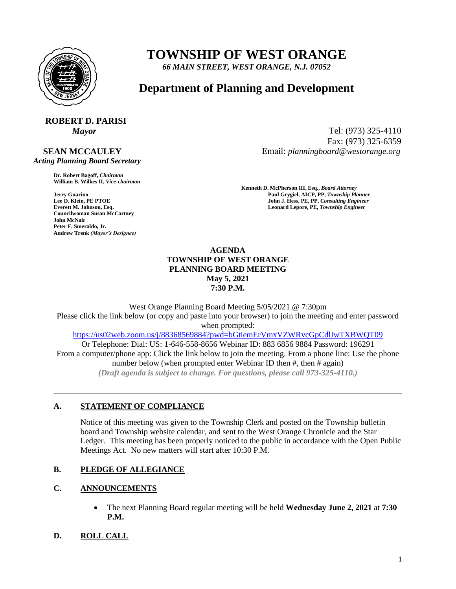

## **TOWNSHIP OF WEST ORANGE**

*66 MAIN STREET, WEST ORANGE, N.J. 07052*

### **Department of Planning and Development**

# **ROBERT D. PARISI**

 **SEAN MCCAULEY**  *Acting Planning Board Secretary*

> **Dr. Robert Bagoff,** *Chairman*  **William B. Wilkes II,** *Vice-chairman*

**Councilwoman Susan McCartney John McNair Peter F. Smeraldo, Jr. Andrew Trenk** *(Mayor's Designee)*

*Mayor* Tel: (973) 325-4110 Fax: (973) 325-6359 Email: *planningboard@westorange.org*

**Kenneth D. McPherson III, Esq.,** *Board Attorney*  **Faul Grygiel, AICP, PP,** *Township Planner* **Paul Grygiel, AICP, PP,** *Township Planner* **<b>Lee D. Klein, PE PTOE John J. Hess, PE, PP,** *Consulting Engineer* **Everett M. Johnson, Esq. Leonard Lepore, PE,** *Township Engineer* 

#### **AGENDA TOWNSHIP OF WEST ORANGE PLANNING BOARD MEETING May 5, 2021 7:30 P.M.**

West Orange Planning Board Meeting 5/05/2021 @ 7:30pm Please click the link below (or copy and paste into your browser) to join the meeting and enter password when prompted: <https://us02web.zoom.us/j/88368569884?pwd=bGtiemErVmxVZWRvcGpCdlIwTXBWQT09> Or Telephone: Dial: US: 1-646-558-8656 Webinar ID: 883 6856 9884 Password: 196291

From a computer/phone app: Click the link below to join the meeting. From a phone line: Use the phone number below (when prompted enter Webinar ID then #, then # again) *(Draft agenda is subject to change. For questions, please call 973-325-4110.)*

#### **A. STATEMENT OF COMPLIANCE**

Notice of this meeting was given to the Township Clerk and posted on the Township bulletin board and Township website calendar, and sent to the West Orange Chronicle and the Star Ledger. This meeting has been properly noticed to the public in accordance with the Open Public Meetings Act. No new matters will start after 10:30 P.M.

#### **B. PLEDGE OF ALLEGIANCE**

#### **C. ANNOUNCEMENTS**

 The next Planning Board regular meeting will be held **Wednesday June 2, 2021** at **7:30 P.M.**

#### **D. ROLL CALL**